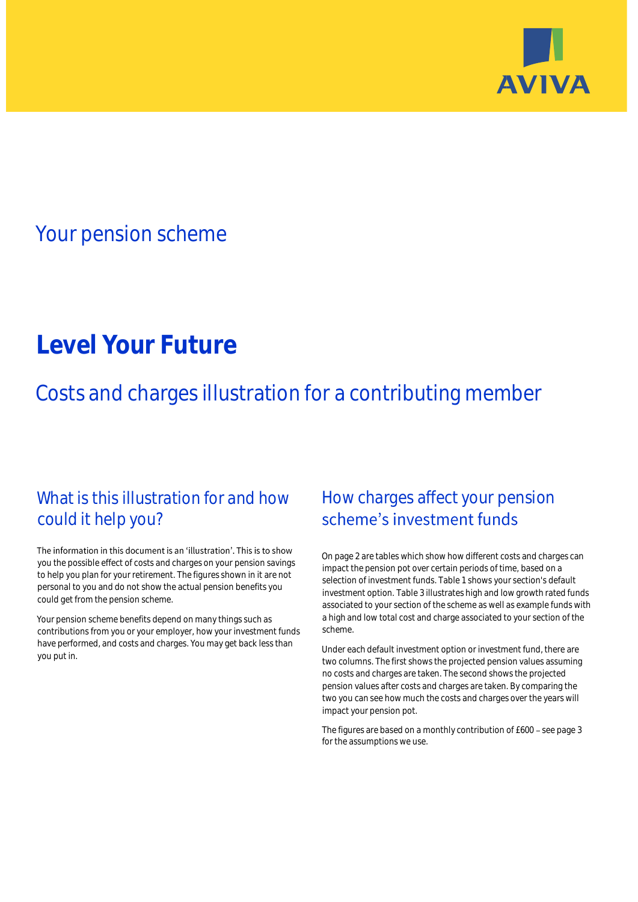

## Your pension scheme

# **Level Your Future**

Costs and charges illustration for a contributing member

### What is this illustration for and how could it help you?

#### The information in this document is an 'illustration'. This is to show you the possible effect of costs and charges on your pension savings to help you plan for your retirement. The figures shown in it are not personal to you and do not show the actual pension benefits you could get from the pension scheme.

Your pension scheme benefits depend on many things such as contributions from you or your employer, how your investment funds have performed, and costs and charges. You may get back less than you put in.

### How charges affect your pension scheme's investment funds

On page 2 are tables which show how different costs and charges can impact the pension pot over certain periods of time, based on a selection of investment funds. Table 1 shows your section's default investment option. Table 3 illustrates high and low growth rated funds associated to your section of the scheme as well as example funds with a high and low total cost and charge associated to your section of the scheme.

Under each default investment option or investment fund, there are two columns. The first shows the projected pension values assuming no costs and charges are taken. The second shows the projected pension values after costs and charges are taken. By comparing the two you can see how much the costs and charges over the years will impact your pension pot.

The figures are based on a monthly contribution of £600 - see page 3 for the assumptions we use.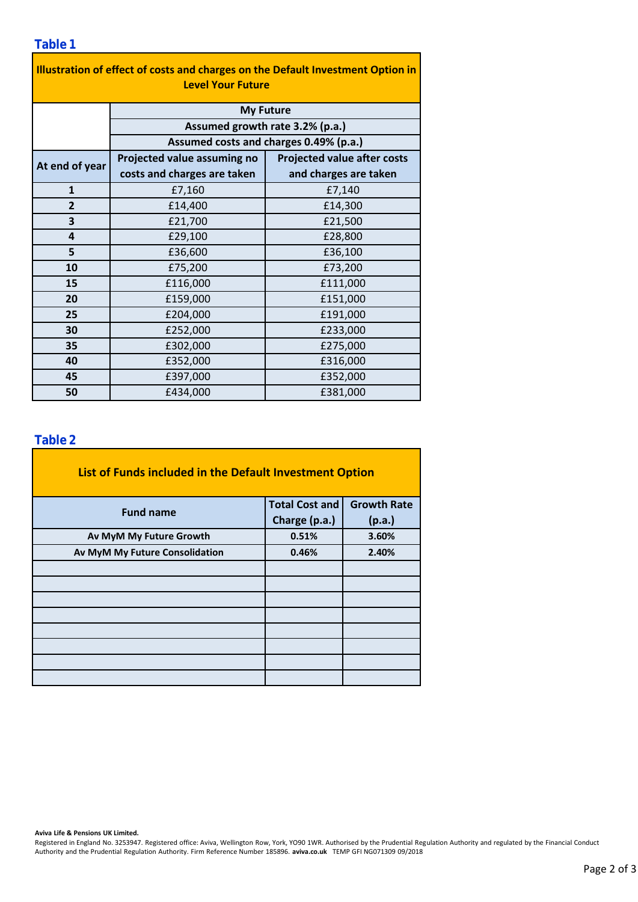| Illustration of effect of costs and charges on the Default Investment Option in<br><b>Level Your Future</b> |                                        |                                    |  |  |  |  |
|-------------------------------------------------------------------------------------------------------------|----------------------------------------|------------------------------------|--|--|--|--|
|                                                                                                             | <b>My Future</b>                       |                                    |  |  |  |  |
| Assumed growth rate 3.2% (p.a.)                                                                             |                                        |                                    |  |  |  |  |
|                                                                                                             | Assumed costs and charges 0.49% (p.a.) |                                    |  |  |  |  |
| At end of year                                                                                              | Projected value assuming no            | <b>Projected value after costs</b> |  |  |  |  |
|                                                                                                             | costs and charges are taken            | and charges are taken              |  |  |  |  |
| $\mathbf{1}$                                                                                                | £7,160                                 | £7,140                             |  |  |  |  |
| $\overline{2}$                                                                                              | £14,400                                | £14,300                            |  |  |  |  |
| 3                                                                                                           | £21,700                                | £21,500                            |  |  |  |  |
| 4                                                                                                           | £29,100                                | £28,800                            |  |  |  |  |
| 5                                                                                                           | £36,600                                | £36,100                            |  |  |  |  |
| 10                                                                                                          | £75,200                                | £73,200                            |  |  |  |  |
| 15                                                                                                          | £116,000                               | £111,000                           |  |  |  |  |
| 20                                                                                                          | £159,000                               | £151,000                           |  |  |  |  |
| 25                                                                                                          | £204,000                               | £191,000                           |  |  |  |  |
| 30                                                                                                          | £252,000                               | £233,000                           |  |  |  |  |
| 35                                                                                                          | £302,000                               | £275,000                           |  |  |  |  |
| 40                                                                                                          | £352,000                               | £316,000                           |  |  |  |  |
| 45                                                                                                          | £397,000                               | £352,000                           |  |  |  |  |
| 50                                                                                                          | £434,000                               | £381,000                           |  |  |  |  |

### **Table 2**

| List of Funds included in the Default Investment Option |                       |                    |
|---------------------------------------------------------|-----------------------|--------------------|
| <b>Fund name</b>                                        | <b>Total Cost and</b> | <b>Growth Rate</b> |
|                                                         | Charge (p.a.)         | (p.a.)             |
| Av MyM My Future Growth                                 | 0.51%                 | 3.60%              |
| Av MyM My Future Consolidation                          | 0.46%                 | 2.40%              |
|                                                         |                       |                    |
|                                                         |                       |                    |
|                                                         |                       |                    |
|                                                         |                       |                    |
|                                                         |                       |                    |
|                                                         |                       |                    |
|                                                         |                       |                    |
|                                                         |                       |                    |

#### **Aviva Life & Pensions UK Limited.**

Registered in England No. 3253947. Registered office: Aviva, Wellington Row, York, YO90 1WR. Authorised by the Prudential Regulation Authority and regulated by the Financial Conduct Authority and the Prudential Regulation Authority. Firm Reference Number 185896. **aviva.co.uk** TEMP GFI NG071309 09/2018